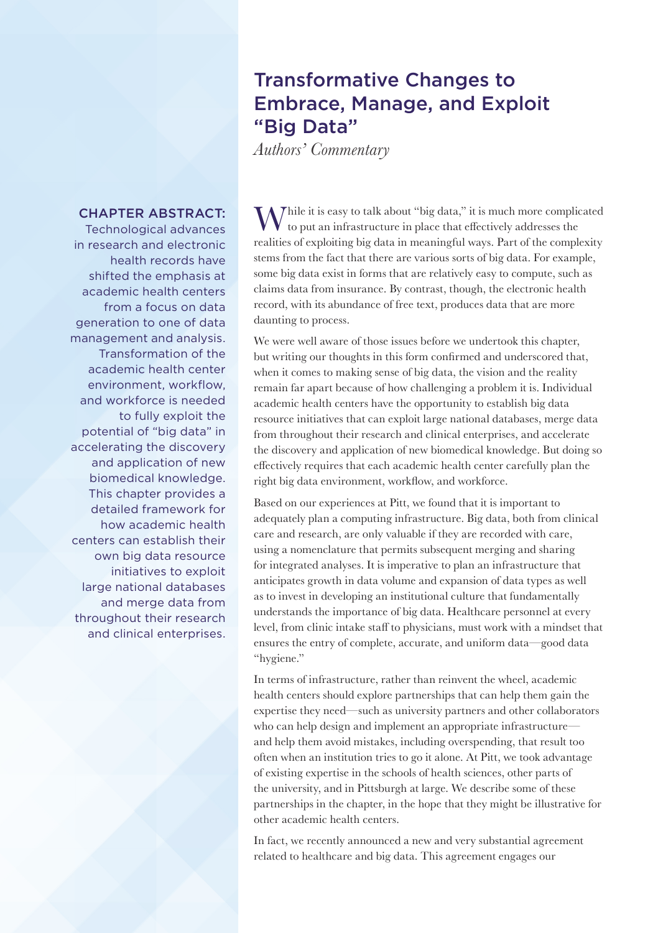# Transformative Changes to Embrace, Manage, and Exploit "Big Data"

*Authors' Commentary*

# CHAPTER ABSTRACT:

Technological advances in research and electronic health records have shifted the emphasis at academic health centers from a focus on data generation to one of data management and analysis. Transformation of the academic health center environment, workflow, and workforce is needed to fully exploit the potential of "big data" in accelerating the discovery and application of new biomedical knowledge. This chapter provides a detailed framework for how academic health centers can establish their own big data resource initiatives to exploit large national databases and merge data from throughout their research and clinical enterprises.

While it is easy to talk about "big data," it is much more complicated to put an infrastructure in place that effectively addresses the realities of exploiting big data in meaningful ways. Part of the complexity stems from the fact that there are various sorts of big data. For example, some big data exist in forms that are relatively easy to compute, such as claims data from insurance. By contrast, though, the electronic health record, with its abundance of free text, produces data that are more daunting to process.

We were well aware of those issues before we undertook this chapter, but writing our thoughts in this form confirmed and underscored that, when it comes to making sense of big data, the vision and the reality remain far apart because of how challenging a problem it is. Individual academic health centers have the opportunity to establish big data resource initiatives that can exploit large national databases, merge data from throughout their research and clinical enterprises, and accelerate the discovery and application of new biomedical knowledge. But doing so effectively requires that each academic health center carefully plan the right big data environment, workflow, and workforce.

Based on our experiences at Pitt, we found that it is important to adequately plan a computing infrastructure. Big data, both from clinical care and research, are only valuable if they are recorded with care, using a nomenclature that permits subsequent merging and sharing for integrated analyses. It is imperative to plan an infrastructure that anticipates growth in data volume and expansion of data types as well as to invest in developing an institutional culture that fundamentally understands the importance of big data. Healthcare personnel at every level, from clinic intake staff to physicians, must work with a mindset that ensures the entry of complete, accurate, and uniform data—good data "hygiene."

In terms of infrastructure, rather than reinvent the wheel, academic health centers should explore partnerships that can help them gain the expertise they need—such as university partners and other collaborators who can help design and implement an appropriate infrastructure and help them avoid mistakes, including overspending, that result too often when an institution tries to go it alone. At Pitt, we took advantage of existing expertise in the schools of health sciences, other parts of the university, and in Pittsburgh at large. We describe some of these partnerships in the chapter, in the hope that they might be illustrative for other academic health centers.

In fact, we recently announced a new and very substantial agreement related to healthcare and big data. This agreement engages our